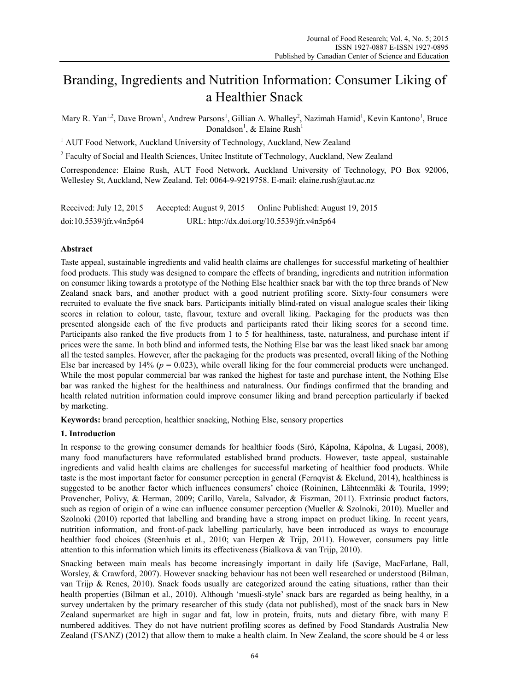# Branding, Ingredients and Nutrition Information: Consumer Liking of a Healthier Snack

Mary R. Yan<sup>1,2</sup>, Dave Brown<sup>1</sup>, Andrew Parsons<sup>1</sup>, Gillian A. Whalley<sup>2</sup>, Nazimah Hamid<sup>1</sup>, Kevin Kantono<sup>1</sup>, Bruce Donaldson<sup>1</sup>, & Elaine Rush<sup>1</sup>

<sup>1</sup> AUT Food Network, Auckland University of Technology, Auckland, New Zealand

<sup>2</sup> Faculty of Social and Health Sciences, Unitec Institute of Technology, Auckland, New Zealand

Correspondence: Elaine Rush, AUT Food Network, Auckland University of Technology, PO Box 92006, Wellesley St, Auckland, New Zealand. Tel: 0064-9-9219758. E-mail: elaine.rush@aut.ac.nz

| Received: July 12, $2015$ | Accepted: August 9, 2015 | Online Published: August 19, 2015          |
|---------------------------|--------------------------|--------------------------------------------|
| doi:10.5539/jfr.v4n5p64   |                          | URL: http://dx.doi.org/10.5539/jfr.v4n5p64 |

# **Abstract**

Taste appeal, sustainable ingredients and valid health claims are challenges for successful marketing of healthier food products. This study was designed to compare the effects of branding, ingredients and nutrition information on consumer liking towards a prototype of the Nothing Else healthier snack bar with the top three brands of New Zealand snack bars, and another product with a good nutrient profiling score. Sixty-four consumers were recruited to evaluate the five snack bars. Participants initially blind-rated on visual analogue scales their liking scores in relation to colour, taste, flavour, texture and overall liking. Packaging for the products was then presented alongside each of the five products and participants rated their liking scores for a second time. Participants also ranked the five products from 1 to 5 for healthiness, taste, naturalness, and purchase intent if prices were the same. In both blind and informed tests, the Nothing Else bar was the least liked snack bar among all the tested samples. However, after the packaging for the products was presented, overall liking of the Nothing Else bar increased by  $14\%$  ( $p = 0.023$ ), while overall liking for the four commercial products were unchanged. While the most popular commercial bar was ranked the highest for taste and purchase intent, the Nothing Else bar was ranked the highest for the healthiness and naturalness. Our findings confirmed that the branding and health related nutrition information could improve consumer liking and brand perception particularly if backed by marketing.

**Keywords:** brand perception, healthier snacking, Nothing Else, sensory properties

# **1. Introduction**

In response to the growing consumer demands for healthier foods (Siró, Kápolna, Kápolna, & Lugasi, 2008), many food manufacturers have reformulated established brand products. However, taste appeal, sustainable ingredients and valid health claims are challenges for successful marketing of healthier food products. While taste is the most important factor for consumer perception in general (Fernqvist & Ekelund, 2014), healthiness is suggested to be another factor which influences consumers' choice (Roininen, Lähteenmäki & Tourila, 1999; Provencher, Polivy, & Herman, 2009; Carillo, Varela, Salvador, & Fiszman, 2011). Extrinsic product factors, such as region of origin of a wine can influence consumer perception (Mueller & Szolnoki, 2010). Mueller and Szolnoki (2010) reported that labelling and branding have a strong impact on product liking. In recent years, nutrition information, and front-of-pack labelling particularly, have been introduced as ways to encourage healthier food choices (Steenhuis et al., 2010; van Herpen & Trijp, 2011). However, consumers pay little attention to this information which limits its effectiveness (Bialkova  $\&$  van Trijp, 2010).

Snacking between main meals has become increasingly important in daily life (Savige, MacFarlane, Ball, Worsley, & Crawford, 2007). However snacking behaviour has not been well researched or understood (Bilman, van Trijp & Renes, 2010). Snack foods usually are categorized around the eating situations, rather than their health properties (Bilman et al., 2010). Although 'muesli-style' snack bars are regarded as being healthy, in a survey undertaken by the primary researcher of this study (data not published), most of the snack bars in New Zealand supermarket are high in sugar and fat, low in protein, fruits, nuts and dietary fibre, with many E numbered additives. They do not have nutrient profiling scores as defined by Food Standards Australia New Zealand (FSANZ) (2012) that allow them to make a health claim. In New Zealand, the score should be 4 or less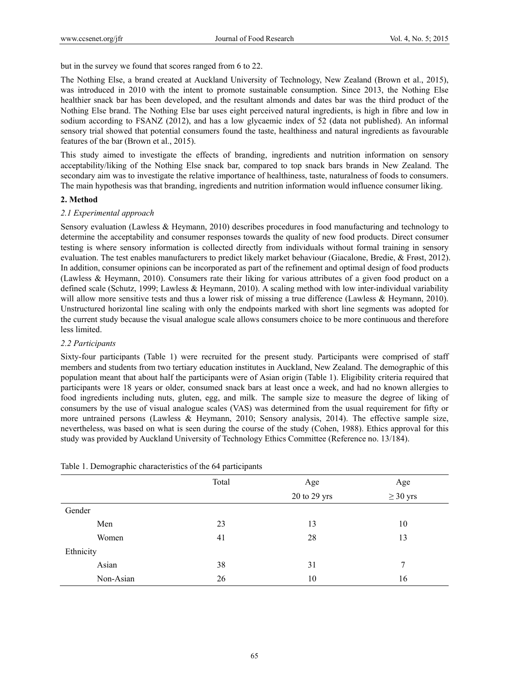but in the survey we found that scores ranged from 6 to 22.

The Nothing Else, a brand created at Auckland University of Technology, New Zealand (Brown et al., 2015), was introduced in 2010 with the intent to promote sustainable consumption. Since 2013, the Nothing Else healthier snack bar has been developed, and the resultant almonds and dates bar was the third product of the Nothing Else brand. The Nothing Else bar uses eight perceived natural ingredients, is high in fibre and low in sodium according to FSANZ (2012), and has a low glycaemic index of 52 (data not published). An informal sensory trial showed that potential consumers found the taste, healthiness and natural ingredients as favourable features of the bar (Brown et al., 2015).

This study aimed to investigate the effects of branding, ingredients and nutrition information on sensory acceptability/liking of the Nothing Else snack bar, compared to top snack bars brands in New Zealand. The secondary aim was to investigate the relative importance of healthiness, taste, naturalness of foods to consumers. The main hypothesis was that branding, ingredients and nutrition information would influence consumer liking.

## **2. Method**

#### *2.1 Experimental approach*

Sensory evaluation (Lawless & Heymann, 2010) describes procedures in food manufacturing and technology to determine the acceptability and consumer responses towards the quality of new food products. Direct consumer testing is where sensory information is collected directly from individuals without formal training in sensory evaluation. The test enables manufacturers to predict likely market behaviour (Giacalone, Bredie, & Frøst, 2012). In addition, consumer opinions can be incorporated as part of the refinement and optimal design of food products (Lawless & Heymann, 2010). Consumers rate their liking for various attributes of a given food product on a defined scale (Schutz, 1999; Lawless & Heymann, 2010). A scaling method with low inter-individual variability will allow more sensitive tests and thus a lower risk of missing a true difference (Lawless & Heymann, 2010). Unstructured horizontal line scaling with only the endpoints marked with short line segments was adopted for the current study because the visual analogue scale allows consumers choice to be more continuous and therefore less limited.

## *2.2 Participants*

Sixty-four participants (Table 1) were recruited for the present study. Participants were comprised of staff members and students from two tertiary education institutes in Auckland, New Zealand. The demographic of this population meant that about half the participants were of Asian origin (Table 1). Eligibility criteria required that participants were 18 years or older, consumed snack bars at least once a week, and had no known allergies to food ingredients including nuts, gluten, egg, and milk. The sample size to measure the degree of liking of consumers by the use of visual analogue scales (VAS) was determined from the usual requirement for fifty or more untrained persons (Lawless & Heymann, 2010; Sensory analysis, 2014). The effective sample size, nevertheless, was based on what is seen during the course of the study (Cohen, 1988). Ethics approval for this study was provided by Auckland University of Technology Ethics Committee (Reference no. 13/184).

| __        |       |              |               |  |  |
|-----------|-------|--------------|---------------|--|--|
|           | Total | Age          | Age           |  |  |
|           |       | 20 to 29 yrs | $\geq$ 30 yrs |  |  |
| Gender    |       |              |               |  |  |
| Men       | 23    | 13           | 10            |  |  |
| Women     | 41    | 28<br>13     |               |  |  |
| Ethnicity |       |              |               |  |  |
| Asian     | 38    | 31           | 7             |  |  |
| Non-Asian | 26    | 10           | 16            |  |  |
|           |       |              |               |  |  |

|  | Table 1. Demographic characteristics of the 64 participants |  |
|--|-------------------------------------------------------------|--|
|  |                                                             |  |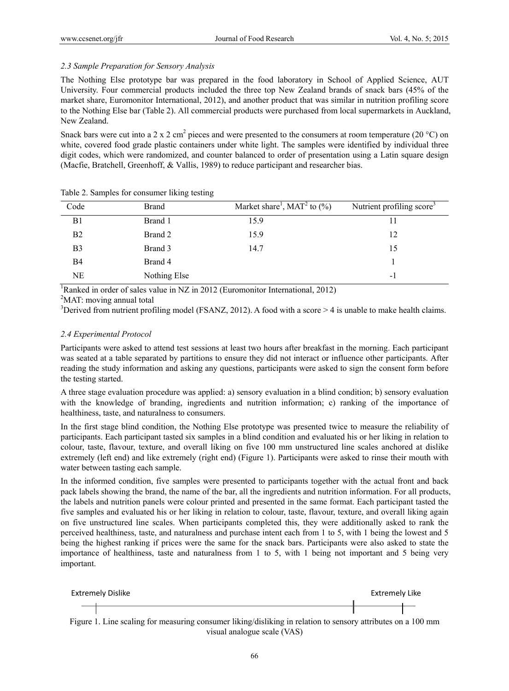# *2.3 Sample Preparation for Sensory Analysis*

The Nothing Else prototype bar was prepared in the food laboratory in School of Applied Science, AUT University. Four commercial products included the three top New Zealand brands of snack bars (45% of the market share, Euromonitor International, 2012), and another product that was similar in nutrition profiling score to the Nothing Else bar (Table 2). All commercial products were purchased from local supermarkets in Auckland, New Zealand.

Snack bars were cut into a 2 x 2 cm<sup>2</sup> pieces and were presented to the consumers at room temperature (20 °C) on white, covered food grade plastic containers under white light. The samples were identified by individual three digit codes, which were randomized, and counter balanced to order of presentation using a Latin square design (Macfie, Bratchell, Greenhoff, & Vallis, 1989) to reduce participant and researcher bias.

| Code           | <b>Brand</b> | Market share <sup>1</sup> , MAT <sup>2</sup> to $(\% )$ | Nutrient profiling score <sup>3</sup> |
|----------------|--------------|---------------------------------------------------------|---------------------------------------|
| B <sub>1</sub> | Brand 1      | 15.9                                                    |                                       |
| B <sub>2</sub> | Brand 2      | 15.9                                                    | 12                                    |
| B3             | Brand 3      | 14.7                                                    | 15                                    |
| B4             | Brand 4      |                                                         |                                       |
| NΕ             | Nothing Else |                                                         | $\blacksquare$                        |

Table 2. Samples for consumer liking testing

<sup>1</sup>Ranked in order of sales value in NZ in 2012 (Euromonitor International, 2012)

<sup>2</sup>MAT: moving annual total

<sup>3</sup>Derived from nutrient profiling model (FSANZ, 2012). A food with a score  $> 4$  is unable to make health claims.

# *2.4 Experimental Protocol*

Participants were asked to attend test sessions at least two hours after breakfast in the morning. Each participant was seated at a table separated by partitions to ensure they did not interact or influence other participants. After reading the study information and asking any questions, participants were asked to sign the consent form before the testing started.

A three stage evaluation procedure was applied: a) sensory evaluation in a blind condition; b) sensory evaluation with the knowledge of branding, ingredients and nutrition information; c) ranking of the importance of healthiness, taste, and naturalness to consumers.

In the first stage blind condition, the Nothing Else prototype was presented twice to measure the reliability of participants. Each participant tasted six samples in a blind condition and evaluated his or her liking in relation to colour, taste, flavour, texture, and overall liking on five 100 mm unstructured line scales anchored at dislike extremely (left end) and like extremely (right end) (Figure 1). Participants were asked to rinse their mouth with water between tasting each sample.

In the informed condition, five samples were presented to participants together with the actual front and back pack labels showing the brand, the name of the bar, all the ingredients and nutrition information. For all products, the labels and nutrition panels were colour printed and presented in the same format. Each participant tasted the five samples and evaluated his or her liking in relation to colour, taste, flavour, texture, and overall liking again on five unstructured line scales. When participants completed this, they were additionally asked to rank the perceived healthiness, taste, and naturalness and purchase intent each from 1 to 5, with 1 being the lowest and 5 being the highest ranking if prices were the same for the snack bars. Participants were also asked to state the importance of healthiness, taste and naturalness from 1 to 5, with 1 being not important and 5 being very important.

| Extremely Dislike                                                                                            | Extremely Like |  |
|--------------------------------------------------------------------------------------------------------------|----------------|--|
|                                                                                                              |                |  |
| Figure 1. Line scaling for measuring consumer liking/disliking in relation to sensory attributes on a 100 mm |                |  |
| visual analogue scale (VAS)                                                                                  |                |  |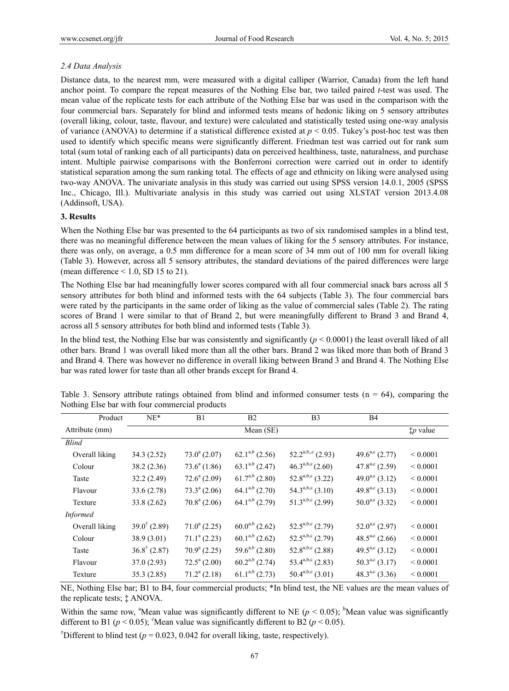# *2.4 Data Analysis*

Distance data, to the nearest mm, were measured with a digital calliper (Warrior, Canada) from the left hand anchor point. To compare the repeat measures of the Nothing Else bar, two tailed paired *t*-test was used. The mean value of the replicate tests for each attribute of the Nothing Else bar was used in the comparison with the four commercial bars. Separately for blind and informed tests means of hedonic liking on 5 sensory attributes (overall liking, colour, taste, flavour, and texture) were calculated and statistically tested using one-way analysis of variance (ANOVA) to determine if a statistical difference existed at  $p < 0.05$ . Tukey's post-hoc test was then used to identify which specific means were significantly different. Friedman test was carried out for rank sum total (sum total of ranking each of all participants) data on perceived healthiness, taste, naturalness, and purchase intent. Multiple pairwise comparisons with the Bonferroni correction were carried out in order to identify statistical separation among the sum ranking total. The effects of age and ethnicity on liking were analysed using two-way ANOVA. The univariate analysis in this study was carried out using SPSS version 14.0.1, 2005 (SPSS Inc., Chicago, Ill.). Multivariate analysis in this study was carried out using XLSTAT version 2013.4.08 (Addinsoft, USA).

## **3. Results**

When the Nothing Else bar was presented to the 64 participants as two of six randomised samples in a blind test, there was no meaningful difference between the mean values of liking for the 5 sensory attributes. For instance, there was only, on average, a 0.5 mm difference for a mean score of 34 mm out of 100 mm for overall liking (Table 3). However, across all 5 sensory attributes, the standard deviations of the paired differences were large (mean difference  $\leq 1.0$ , SD 15 to 21).

The Nothing Else bar had meaningfully lower scores compared with all four commercial snack bars across all 5 sensory attributes for both blind and informed tests with the 64 subjects (Table 3). The four commercial bars were rated by the participants in the same order of liking as the value of commercial sales (Table 2). The rating scores of Brand 1 were similar to that of Brand 2, but were meaningfully different to Brand 3 and Brand 4, across all 5 sensory attributes for both blind and informed tests (Table 3).

In the blind test, the Nothing Else bar was consistently and significantly  $(p < 0.0001)$  the least overall liked of all other bars. Brand 1 was overall liked more than all the other bars. Brand 2 was liked more than both of Brand 3 and Brand 4. There was however no difference in overall liking between Brand 3 and Brand 4. The Nothing Else bar was rated lower for taste than all other brands except for Brand 4.

| Product         | $NE^*$                  | B1                         | B <sub>2</sub>             | B <sub>3</sub>                             | <b>B4</b>                  |                    |
|-----------------|-------------------------|----------------------------|----------------------------|--------------------------------------------|----------------------------|--------------------|
| Attribute (mm)  |                         |                            | Mean (SE)                  |                                            |                            | $\ddagger p$ value |
| <b>Blind</b>    |                         |                            |                            |                                            |                            |                    |
| Overall liking  | 34.3(2.52)              | $73.0^a(2.07)$             | $62.1^{a,b}$ (2.56)        | $52.2^{a,b,c}$ (2.93)                      | $49.6^{\text{a,c}}$ (2.77) | ${}_{0.0001}$      |
| Colour          | 38.2(2.36)              | $73.6^a(1.86)$             | $63.1^{a,b}$ (2.47)        | $46.3^{a,b,c}$ (2.60)                      | $47.8^{a,c}$ (2.59)        | ${}< 0.0001$       |
| Taste           | 32.2(2.49)              | $72.6^{\mathrm{a}}$ (2.09) | $61.7^{a,b}$ (2.80)        | $52.8^{a,b,c}$ (3.22)                      | 49.0 <sup>a,c</sup> (3.12) | ${}< 0.0001$       |
| Flavour         | 33.6(2.78)              | $73.3^{\circ}$ (2.06)      | $64.1^{a,b}$ (2.70)        | $54.3^{a,b,c}$ (3.10)                      | 49.8 <sup>a,c</sup> (3.13) | ${}< 0.0001$       |
| Texture         | 33.8(2.62)              | $70.8^a(2.06)$             | $64.1^{a,b}$ (2.79)        | $51.3^{a,b,c}$ (2.99)                      | $50.0^{a,c}$ (3.32)        | ${}< 0.0001$       |
| <b>Informed</b> |                         |                            |                            |                                            |                            |                    |
| Overall liking  | $39.0^{\dagger}$ (2.89) | $71.0^a(2.25)$             | $60.0^{a,b}$ (2.62)        | $52.5^{\text{a},\text{b},\text{c}}$ (2.79) | $52.0^{a,c}$ (2.97)        | ${}< 0.0001$       |
| Colour          | 38.9(3.01)              | $71.1^a(2.23)$             | $60.1^{a,b}$ (2.62)        | $52.5^{\text{a},\text{b},\text{c}}$ (2.79) | $48.5^{\text{a,c}}$ (2.66) | ${}< 0.0001$       |
| Taste           | $36.8^{\dagger}$ (2.87) | $70.9^{\rm a}$ (2.25)      | 59.6 <sup>a,b</sup> (2.80) | $52.8^{a,b,c}$ (2.88)                      | 49.5 <sup>a,c</sup> (3.12) | ${}< 0.0001$       |
| Flavour         | 37.0(2.93)              | $72.5^{\mathrm{a}}$ (2.00) | $60.2^{a,b}$ (2.74)        | 53.4a,b,c $(2.83)$                         | $50.3^{a,c}$ (3.17)        | ${}< 0.0001$       |
| Texture         | 35.3(2.85)              | $71.2^a(2.18)$             | $61.1^{a,b}$ (2.73)        | $50.4^{\text{a},\text{b},\text{c}}$ (3.01) | 48.3 <sup>a,c</sup> (3.36) | ${}< 0.0001$       |

Table 3. Sensory attribute ratings obtained from blind and informed consumer tests ( $n = 64$ ), comparing the Nothing Else bar with four commercial products

NE, Nothing Else bar; B1 to B4, four commercial products; \*In blind test, the NE values are the mean values of the replicate tests; ‡ ANOVA.

Within the same row, <sup>a</sup>Mean value was significantly different to NE ( $p < 0.05$ ); <sup>b</sup>Mean value was significantly different to B1 ( $p < 0.05$ ); <sup>o</sup>Mean value was significantly different to B2 ( $p < 0.05$ ).

<sup>†</sup>Different to blind test ( $p = 0.023$ , 0.042 for overall liking, taste, respectively).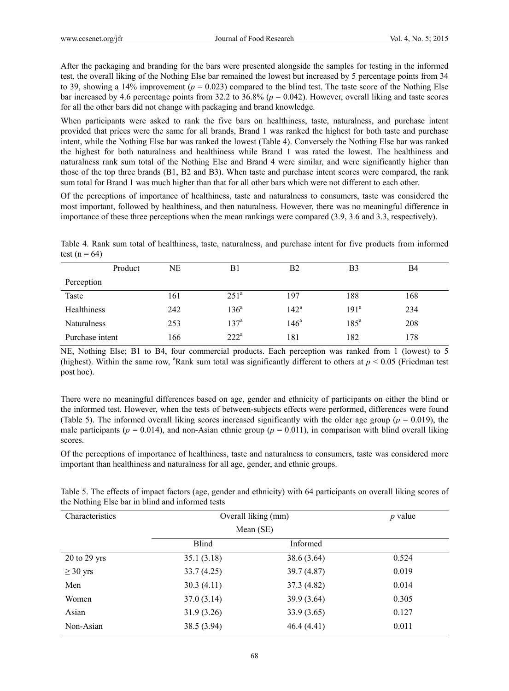After the packaging and branding for the bars were presented alongside the samples for testing in the informed test, the overall liking of the Nothing Else bar remained the lowest but increased by 5 percentage points from 34 to 39, showing a 14% improvement  $(p = 0.023)$  compared to the blind test. The taste score of the Nothing Else bar increased by 4.6 percentage points from 32.2 to 36.8% (*p* = 0.042). However, overall liking and taste scores for all the other bars did not change with packaging and brand knowledge.

When participants were asked to rank the five bars on healthiness, taste, naturalness, and purchase intent provided that prices were the same for all brands, Brand 1 was ranked the highest for both taste and purchase intent, while the Nothing Else bar was ranked the lowest (Table 4). Conversely the Nothing Else bar was ranked the highest for both naturalness and healthiness while Brand 1 was rated the lowest. The healthiness and naturalness rank sum total of the Nothing Else and Brand 4 were similar, and were significantly higher than those of the top three brands (B1, B2 and B3). When taste and purchase intent scores were compared, the rank sum total for Brand 1 was much higher than that for all other bars which were not different to each other.

Of the perceptions of importance of healthiness, taste and naturalness to consumers, taste was considered the most important, followed by healthiness, and then naturalness. However, there was no meaningful difference in importance of these three perceptions when the mean rankings were compared (3.9, 3.6 and 3.3, respectively).

Table 4. Rank sum total of healthiness, taste, naturalness, and purchase intent for five products from informed test ( $n = 64$ )

|                    | Product | NE  | B1               | B2            | B <sub>3</sub>   | B4  |  |
|--------------------|---------|-----|------------------|---------------|------------------|-----|--|
| Perception         |         |     |                  |               |                  |     |  |
| Taste              |         | 161 | 251 <sup>a</sup> | 197           | 188              | 168 |  |
| Healthiness        |         | 242 | $136^a$          | $142^a$       | 191 <sup>a</sup> | 234 |  |
| <b>Naturalness</b> |         | 253 | $137^{\circ}$    | $146^{\circ}$ | $185^{\circ}$    | 208 |  |
| Purchase intent    |         | 166 | $222^a$          | 181           | 182              | 178 |  |
|                    |         |     |                  |               |                  |     |  |

NE, Nothing Else; B1 to B4, four commercial products. Each perception was ranked from 1 (lowest) to 5 (highest). Within the same row, <sup>a</sup>Rank sum total was significantly different to others at  $p < 0.05$  (Friedman test post hoc).

There were no meaningful differences based on age, gender and ethnicity of participants on either the blind or the informed test. However, when the tests of between-subjects effects were performed, differences were found (Table 5). The informed overall liking scores increased significantly with the older age group ( $p = 0.019$ ), the male participants ( $p = 0.014$ ), and non-Asian ethnic group ( $p = 0.011$ ), in comparison with blind overall liking scores.

Of the perceptions of importance of healthiness, taste and naturalness to consumers, taste was considered more important than healthiness and naturalness for all age, gender, and ethnic groups.

| Characteristics  | Overall liking (mm) | <i>p</i> value |       |
|------------------|---------------------|----------------|-------|
|                  | Mean (SE)           |                |       |
|                  | Blind               | Informed       |       |
| $20$ to $29$ yrs | 35.1(3.18)          | 38.6 (3.64)    | 0.524 |
| $\geq 30$ yrs    | 33.7(4.25)          | 39.7 (4.87)    | 0.019 |
| Men              | 30.3(4.11)          | 37.3 (4.82)    | 0.014 |
| Women            | 37.0(3.14)          | 39.9 (3.64)    | 0.305 |
| Asian            | 31.9(3.26)          | 33.9(3.65)     | 0.127 |
| Non-Asian        | 38.5 (3.94)         | 46.4(4.41)     | 0.011 |

Table 5. The effects of impact factors (age, gender and ethnicity) with 64 participants on overall liking scores of the Nothing Else bar in blind and informed tests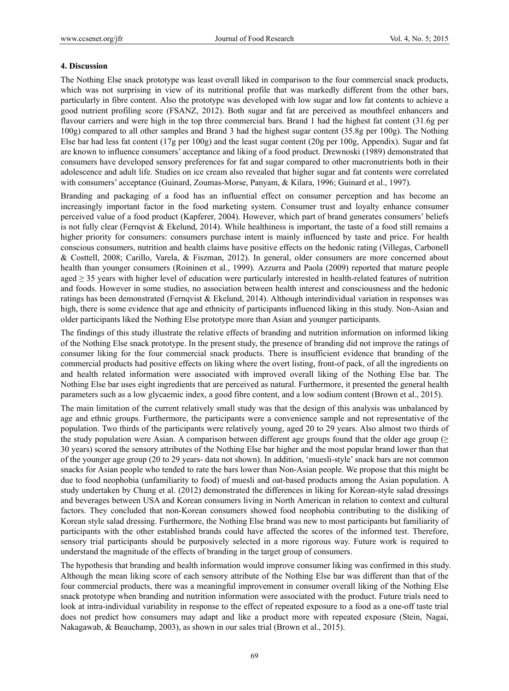## **4. Discussion**

The Nothing Else snack prototype was least overall liked in comparison to the four commercial snack products, which was not surprising in view of its nutritional profile that was markedly different from the other bars, particularly in fibre content. Also the prototype was developed with low sugar and low fat contents to achieve a good nutrient profiling score (FSANZ, 2012). Both sugar and fat are perceived as mouthfeel enhancers and flavour carriers and were high in the top three commercial bars. Brand 1 had the highest fat content (31.6g per 100g) compared to all other samples and Brand 3 had the highest sugar content (35.8g per 100g). The Nothing Else bar had less fat content (17g per 100g) and the least sugar content (20g per 100g, Appendix). Sugar and fat are known to influence consumers' acceptance and liking of a food product. Drewnoski (1989) demonstrated that consumers have developed sensory preferences for fat and sugar compared to other macronutrients both in their adolescence and adult life. Studies on ice cream also revealed that higher sugar and fat contents were correlated with consumers' acceptance (Guinard, Zoumas-Morse, Panyam, & Kilara, 1996; Guinard et al., 1997).

Branding and packaging of a food has an influential effect on consumer perception and has become an increasingly important factor in the food marketing system. Consumer trust and loyalty enhance consumer perceived value of a food product (Kapferer, 2004). However, which part of brand generates consumers' beliefs is not fully clear (Fernqvist & Ekelund, 2014). While healthiness is important, the taste of a food still remains a higher priority for consumers: consumers purchase intent is mainly influenced by taste and price. For health conscious consumers, nutrition and health claims have positive effects on the hedonic rating (Villegas, Carbonell & Costtell, 2008; Carillo, Varela, & Fiszman, 2012). In general, older consumers are more concerned about health than younger consumers (Roininen et al., 1999). Azzurra and Paola (2009) reported that mature people aged ≥ 35 years with higher level of education were particularly interested in health-related features of nutrition and foods. However in some studies, no association between health interest and consciousness and the hedonic ratings has been demonstrated (Fernqvist & Ekelund, 2014). Although interindividual variation in responses was high, there is some evidence that age and ethnicity of participants influenced liking in this study. Non-Asian and older participants liked the Nothing Else prototype more than Asian and younger participants.

The findings of this study illustrate the relative effects of branding and nutrition information on informed liking of the Nothing Else snack prototype. In the present study, the presence of branding did not improve the ratings of consumer liking for the four commercial snack products. There is insufficient evidence that branding of the commercial products had positive effects on liking where the overt listing, front-of pack, of all the ingredients on and health related information were associated with improved overall liking of the Nothing Else bar. The Nothing Else bar uses eight ingredients that are perceived as natural. Furthermore, it presented the general health parameters such as a low glycaemic index, a good fibre content, and a low sodium content (Brown et al., 2015).

The main limitation of the current relatively small study was that the design of this analysis was unbalanced by age and ethnic groups. Furthermore, the participants were a convenience sample and not representative of the population. Two thirds of the participants were relatively young, aged 20 to 29 years. Also almost two thirds of the study population were Asian. A comparison between different age groups found that the older age group ( $\geq$ 30 years) scored the sensory attributes of the Nothing Else bar higher and the most popular brand lower than that of the younger age group (20 to 29 years- data not shown). In addition, 'muesli-style' snack bars are not common snacks for Asian people who tended to rate the bars lower than Non-Asian people. We propose that this might be due to food neophobia (unfamiliarity to food) of muesli and oat-based products among the Asian population. A study undertaken by Chung et al. (2012) demonstrated the differences in liking for Korean-style salad dressings and beverages between USA and Korean consumers living in North American in relation to context and cultural factors. They concluded that non-Korean consumers showed food neophobia contributing to the disliking of Korean style salad dressing. Furthermore, the Nothing Else brand was new to most participants but familiarity of participants with the other established brands could have affected the scores of the informed test. Therefore, sensory trial participants should be purposively selected in a more rigorous way. Future work is required to understand the magnitude of the effects of branding in the target group of consumers.

The hypothesis that branding and health information would improve consumer liking was confirmed in this study. Although the mean liking score of each sensory attribute of the Nothing Else bar was different than that of the four commercial products, there was a meaningful improvement in consumer overall liking of the Nothing Else snack prototype when branding and nutrition information were associated with the product. Future trials need to look at intra-individual variability in response to the effect of repeated exposure to a food as a one-off taste trial does not predict how consumers may adapt and like a product more with repeated exposure (Stein, Nagai, Nakagawab, & Beauchamp, 2003), as shown in our sales trial (Brown et al., 2015).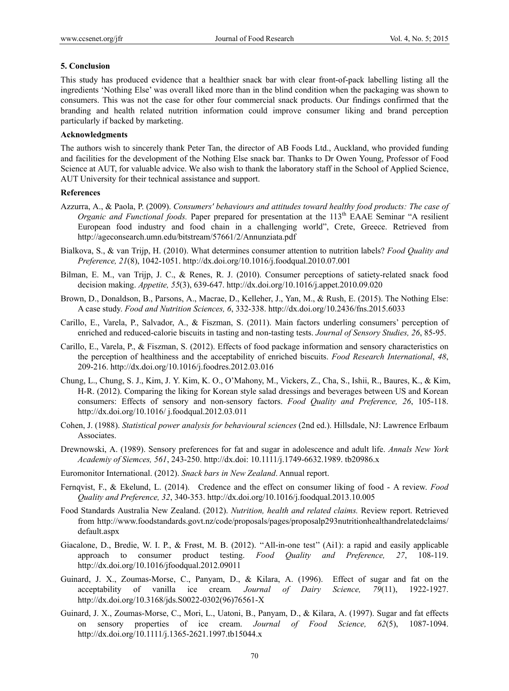#### **5. Conclusion**

This study has produced evidence that a healthier snack bar with clear front-of-pack labelling listing all the ingredients 'Nothing Else' was overall liked more than in the blind condition when the packaging was shown to consumers. This was not the case for other four commercial snack products. Our findings confirmed that the branding and health related nutrition information could improve consumer liking and brand perception particularly if backed by marketing.

# **Acknowledgments**

The authors wish to sincerely thank Peter Tan, the director of AB Foods Ltd., Auckland, who provided funding and facilities for the development of the Nothing Else snack bar. Thanks to Dr Owen Young, Professor of Food Science at AUT, for valuable advice. We also wish to thank the laboratory staff in the School of Applied Science, AUT University for their technical assistance and support.

#### **References**

- Azzurra, A., & Paola, P. (2009). *Consumers' behaviours and attitudes toward healthy food products: The case of Organic and Functional foods.* Paper prepared for presentation at the 113<sup>th</sup> EAAE Seminar "A resilient European food industry and food chain in a challenging world", Crete, Greece. Retrieved from http://ageconsearch.umn.edu/bitstream/57661/2/Annunziata.pdf
- Bialkova, S., & van Trijp, H. (2010). What determines consumer attention to nutrition labels? *Food Quality and Preference, 21*(8), 1042-1051. http://dx.doi.org/10.1016/j.foodqual.2010.07.001
- Bilman, E. M., van Trijp, J. C., & Renes, R. J. (2010). Consumer perceptions of satiety-related snack food decision making. *Appetite, 55*(3), 639-647. http://dx.doi.org/10.1016/j.appet.2010.09.020
- Brown, D., Donaldson, B., Parsons, A., Macrae, D., Kelleher, J., Yan, M., & Rush, E. (2015). The Nothing Else: A case study. *Food and Nutrition Sciences, 6*, 332-338. http://dx.doi.org/10.2436/fns.2015.6033
- Carillo, E., Varela, P., Salvador, A., & Fiszman, S. (2011). Main factors underling consumers' perception of enriched and reduced-calorie biscuits in tasting and non-tasting tests. *Journal of Sensory Studies, 26*, 85-95.
- Carillo, E., Varela, P., & Fiszman, S. (2012). Effects of food package information and sensory characteristics on the perception of healthiness and the acceptability of enriched biscuits. *Food Research International*, *48*, 209-216. http://dx.doi.org/10.1016/j.foodres.2012.03.016
- Chung, L., Chung, S. J., Kim, J. Y. Kim, K. O., O'Mahony, M., Vickers, Z., Cha, S., Ishii, R., Baures, K., & Kim, H-R. (2012). Comparing the liking for Korean style salad dressings and beverages between US and Korean consumers: Effects of sensory and non-sensory factors. *Food Quality and Preference, 26*, 105-118. http://dx.doi.org/10.1016/ j.foodqual.2012.03.011
- Cohen, J. (1988). *Statistical power analysis for behavioural sciences* (2nd ed.). Hillsdale, NJ: Lawrence Erlbaum Associates.
- Drewnowski, A. (1989). Sensory preferences for fat and sugar in adolescence and adult life. *Annals New York Academiy of Siemces, 561*, 243-250. http://dx.doi: 10.1111/j.1749-6632.1989. tb20986.x
- Euromonitor International. (2012). *Snack bars in New Zealand*. Annual report.
- Fernqvist, F., & Ekelund, L. (2014). Credence and the effect on consumer liking of food A review. *Food Quality and Preference, 32*, 340-353. http://dx.doi.org/10.1016/j.foodqual.2013.10.005
- Food Standards Australia New Zealand. (2012). *Nutrition, health and related claims.* Review report. Retrieved from http://www.foodstandards.govt.nz/code/proposals/pages/proposalp293nutritionhealthandrelatedclaims/ default.aspx
- Giacalone, D., Bredie, W. I. P., & Frøst, M. B. (2012). "All-in-one test" (Ai1): a rapid and easily applicable approach to consumer product testing. *Food Quality and Preference, 27*, 108-119. http://dx.doi.org/10.1016/jfoodqual.2012.09011
- Guinard, J. X., Zoumas-Morse, C., Panyam, D., & Kilara, A. (1996). Effect of sugar and fat on the acceptability of vanilla ice cream*. Journal of Dairy Science, 79*(11), 1922-1927. http://dx.doi.org/10.3168/jds.S0022-0302(96)76561-X
- Guinard, J. X., Zoumas-Morse, C., Mori, L., Uatoni, B., Panyam, D., & Kilara, A. (1997). Sugar and fat effects on sensory properties of ice cream. *Journal of Food Science, 62*(5), 1087-1094. http://dx.doi.org/10.1111/j.1365-2621.1997.tb15044.x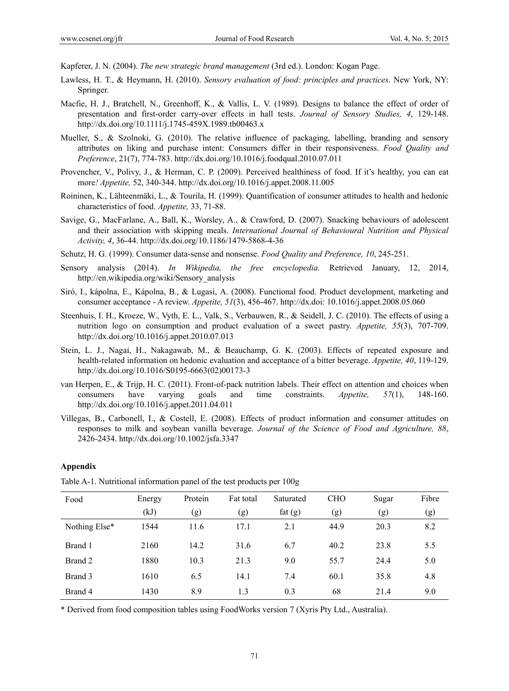Kapferer, J. N. (2004). *The new strategic brand management* (3rd ed.). London: Kogan Page.

- Lawless, H. T., & Heymann, H. (2010). *Sensory evaluation of food: principles and practices.* New York, NY: Springer.
- Macfie, H. J., Bratchell, N., Greenhoff, K., & Vallis, L. V. (1989). Designs to balance the effect of order of presentation and first-order carry-over effects in hall tests. *Journal of Sensory Studies, 4*, 129-148. http://dx.doi.org/10.1111/j.1745-459X.1989.tb00463.x
- Mueller, S., & Szolnoki, G. (2010). The relative influence of packaging, labelling, branding and sensory attributes on liking and purchase intent: Consumers differ in their responsiveness. *Food Quality and Preference*, 21(7), 774-783. http://dx.doi.org/10.1016/j.foodqual.2010.07.011
- Provencher, V., Polivy, J., & Herman, C. P. (2009). Perceived healthiness of food. If it's healthy, you can eat more*! Appetite,* 52, 340-344. http://dx.doi.org/10.1016/j.appet.2008.11.005
- Roininen, K., Lähteenmäki, L., & Tourila, H. (1999). Quantification of consumer attitudes to health and hedonic characteristics of food. *Appetite,* 33, 71-88.
- Savige, G., MacFarlane, A., Ball, K., Worsley, A., & Crawford, D. (2007). Snacking behaviours of adolescent and their association with skipping meals. *International Journal of Behavioural Nutrition and Physical Activity, 4*, 36-44. http://dx.doi.org/10.1186/1479-5868-4-36
- Schutz, H. G. (1999). Consumer data-sense and nonsense. *Food Quality and Preference, 10*, 245-251.
- Sensory analysis (2014). *In Wikipedia, the free encyclopedia.* Retrieved January, 12, 2014, http://en.wikipedia.org/wiki/Sensory\_analysis
- Siró, I., kápolna, E., Kápolna, B., & Lugasi, A. (2008). Functional food. Product development, marketing and consumer acceptance - A review. *Appetite, 51*(3), 456-467. http://dx.doi: 10.1016/j.appet.2008.05.060
- Steenhuis, I. H., Kroeze, W., Vyth, E. L., Valk, S., Verbauwen, R., & Seidell, J. C. (2010). The effects of using a nutrition logo on consumption and product evaluation of a sweet pastry. *Appetite, 55*(3), 707-709. http://dx.doi.org/10.1016/j.appet.2010.07.013
- Stein, L. J., Nagai, H., Nakagawab, M., & Beauchamp, G. K. (2003). Effects of repeated exposure and health-related information on hedonic evaluation and acceptance of a bitter beverage. *Appetite, 40*, 119-129. http://dx.doi.org/10.1016/S0195-6663(02)00173-3
- van Herpen, E., & Trijp, H. C. (2011). Front-of-pack nutrition labels. Their effect on attention and choices when consumers have varying goals and time constraints. *Appetite, 57*(1), 148-160. http://dx.doi.org/10.1016/j.appet.2011.04.011
- Villegas, B., Carbonell, I., & Costell, E. (2008). Effects of product information and consumer attitudes on responses to milk and soybean vanilla beverage. *Journal of the Science of Food and Agriculture, 88*, 2426-2434. http://dx.doi.org/10.1002/jsfa.3347

## **Appendix**

| Food          | Energy | Protein | Fat total | Saturated | <b>CHO</b> | Sugar | Fibre |
|---------------|--------|---------|-----------|-----------|------------|-------|-------|
|               | (kJ)   | (g)     | (g)       | fat $(g)$ | (g)        | (g)   | (g)   |
| Nothing Else* | 1544   | 11.6    | 17.1      | 2.1       | 44.9       | 20.3  | 8.2   |
| Brand 1       | 2160   | 14.2    | 31.6      | 6.7       | 40.2       | 23.8  | 5.5   |
| Brand 2       | 1880   | 10.3    | 21.3      | 9.0       | 55.7       | 24.4  | 5.0   |
| Brand 3       | 1610   | 6.5     | 14.1      | 7.4       | 60.1       | 35.8  | 4.8   |
| Brand 4       | 1430   | 8.9     | 1.3       | 0.3       | 68         | 21.4  | 9.0   |

Table A-1. Nutritional information panel of the test products per 100g

\* Derived from food composition tables using FoodWorks version 7 (Xyris Pty Ltd., Australia).

71